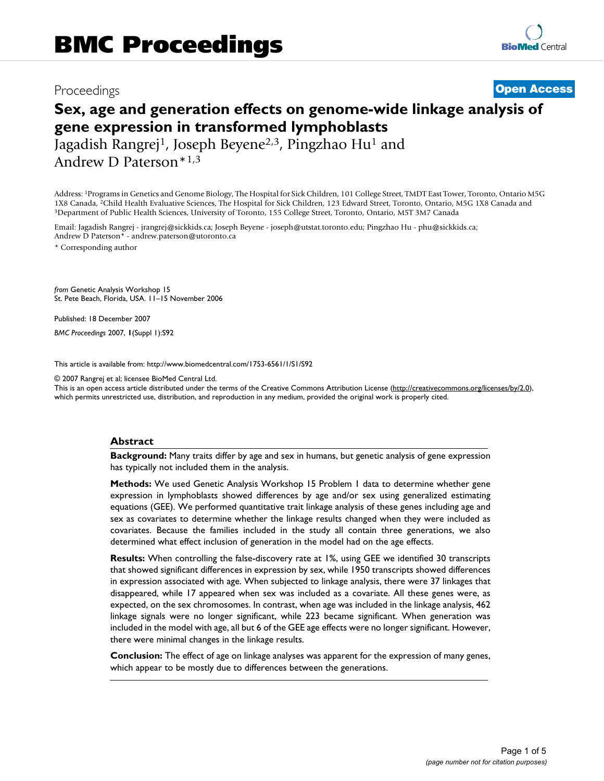## Proceedings **[Open Access](http://www.biomedcentral.com/info/about/charter/)**

# **Sex, age and generation effects on genome-wide linkage analysis of gene expression in transformed lymphoblasts**

Jagadish Rangrej1, Joseph Beyene2,3, Pingzhao Hu1 and Andrew D Paterson\*1,3

Address: 1Programs in Genetics and Genome Biology, The Hospital for Sick Children, 101 College Street, TMDT East Tower, Toronto, Ontario M5G 1X8 Canada, <sup>2</sup>Child Health Evaluative Sciences, The Hospital for Sick Children, 123 Edward Street, Toronto, Ontario, M5G 1X8 Canada and <sup>3</sup>Department of Public Health Sciences, University of Toronto, 155 College Street, T

Email: Jagadish Rangrej - jrangrej@sickkids.ca; Joseph Beyene - joseph@utstat.toronto.edu; Pingzhao Hu - phu@sickkids.ca; Andrew D Paterson\* - andrew.paterson@utoronto.ca

\* Corresponding author

*from* Genetic Analysis Workshop 15 St. Pete Beach, Florida, USA. 11–15 November 2006

Published: 18 December 2007

*BMC Proceedings* 2007, **1**(Suppl 1):S92

[This article is available from: http://www.biomedcentral.com/1753-6561/1/S1/S92](http://www.biomedcentral.com/1753-6561/1/S1/S92)

© 2007 Rangrej et al; licensee BioMed Central Ltd.

This is an open access article distributed under the terms of the Creative Commons Attribution License [\(http://creativecommons.org/licenses/by/2.0\)](http://creativecommons.org/licenses/by/2.0), which permits unrestricted use, distribution, and reproduction in any medium, provided the original work is properly cited.

#### **Abstract**

**Background:** Many traits differ by age and sex in humans, but genetic analysis of gene expression has typically not included them in the analysis.

**Methods:** We used Genetic Analysis Workshop 15 Problem 1 data to determine whether gene expression in lymphoblasts showed differences by age and/or sex using generalized estimating equations (GEE). We performed quantitative trait linkage analysis of these genes including age and sex as covariates to determine whether the linkage results changed when they were included as covariates. Because the families included in the study all contain three generations, we also determined what effect inclusion of generation in the model had on the age effects.

**Results:** When controlling the false-discovery rate at 1%, using GEE we identified 30 transcripts that showed significant differences in expression by sex, while 1950 transcripts showed differences in expression associated with age. When subjected to linkage analysis, there were 37 linkages that disappeared, while 17 appeared when sex was included as a covariate. All these genes were, as expected, on the sex chromosomes. In contrast, when age was included in the linkage analysis, 462 linkage signals were no longer significant, while 223 became significant. When generation was included in the model with age, all but 6 of the GEE age effects were no longer significant. However, there were minimal changes in the linkage results.

**Conclusion:** The effect of age on linkage analyses was apparent for the expression of many genes, which appear to be mostly due to differences between the generations.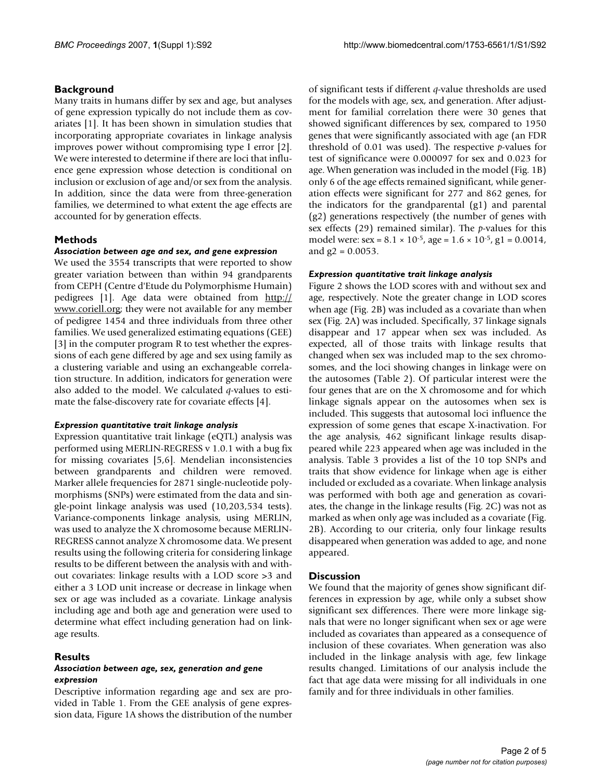#### **Background**

Many traits in humans differ by sex and age, but analyses of gene expression typically do not include them as covariates [1]. It has been shown in simulation studies that incorporating appropriate covariates in linkage analysis improves power without compromising type I error [2]. We were interested to determine if there are loci that influence gene expression whose detection is conditional on inclusion or exclusion of age and/or sex from the analysis. In addition, since the data were from three-generation families, we determined to what extent the age effects are accounted for by generation effects.

#### **Methods**

#### *Association between age and sex, and gene expression*

We used the 3554 transcripts that were reported to show greater variation between than within 94 grandparents from CEPH (Centre d'Etude du Polymorphisme Humain) pedigrees [1]. Age data were obtained from [http://](http://www.coriell.org) [www.coriell.org;](http://www.coriell.org) they were not available for any member of pedigree 1454 and three individuals from three other families. We used generalized estimating equations (GEE) [3] in the computer program R to test whether the expressions of each gene differed by age and sex using family as a clustering variable and using an exchangeable correlation structure. In addition, indicators for generation were also added to the model. We calculated *q*-values to estimate the false-discovery rate for covariate effects [4].

#### *Expression quantitative trait linkage analysis*

Expression quantitative trait linkage (eQTL) analysis was performed using MERLIN-REGRESS v 1.0.1 with a bug fix for missing covariates [5,6]. Mendelian inconsistencies between grandparents and children were removed. Marker allele frequencies for 2871 single-nucleotide polymorphisms (SNPs) were estimated from the data and single-point linkage analysis was used (10,203,534 tests). Variance-components linkage analysis, using MERLIN, was used to analyze the X chromosome because MERLIN-REGRESS cannot analyze X chromosome data. We present results using the following criteria for considering linkage results to be different between the analysis with and without covariates: linkage results with a LOD score >3 and either a 3 LOD unit increase or decrease in linkage when sex or age was included as a covariate. Linkage analysis including age and both age and generation were used to determine what effect including generation had on linkage results.

#### **Results**

#### *Association between age, sex, generation and gene expression*

Descriptive information regarding age and sex are provided in Table 1. From the GEE analysis of gene expression data, Figure 1A shows the distribution of the number of significant tests if different *q*-value thresholds are used for the models with age, sex, and generation. After adjustment for familial correlation there were 30 genes that showed significant differences by sex, compared to 1950 genes that were significantly associated with age (an FDR threshold of 0.01 was used). The respective *p*-values for test of significance were 0.000097 for sex and 0.023 for age. When generation was included in the model (Fig. 1B) only 6 of the age effects remained significant, while generation effects were significant for 277 and 862 genes, for the indicators for the grandparental (g1) and parental (g2) generations respectively (the number of genes with sex effects (29) remained similar). The *p*-values for this model were:  $sex = 8.1 \times 10^{-5}$ ,  $age = 1.6 \times 10^{-5}$ ,  $gl = 0.0014$ , and  $g2 = 0.0053$ .

#### *Expression quantitative trait linkage analysis*

Figure 2 shows the LOD scores with and without sex and age, respectively. Note the greater change in LOD scores when age (Fig. 2B) was included as a covariate than when sex (Fig. 2A) was included. Specifically, 37 linkage signals disappear and 17 appear when sex was included. As expected, all of those traits with linkage results that changed when sex was included map to the sex chromosomes, and the loci showing changes in linkage were on the autosomes (Table 2). Of particular interest were the four genes that are on the X chromosome and for which linkage signals appear on the autosomes when sex is included. This suggests that autosomal loci influence the expression of some genes that escape X-inactivation. For the age analysis, 462 significant linkage results disappeared while 223 appeared when age was included in the analysis. Table 3 provides a list of the 10 top SNPs and traits that show evidence for linkage when age is either included or excluded as a covariate. When linkage analysis was performed with both age and generation as covariates, the change in the linkage results (Fig. 2C) was not as marked as when only age was included as a covariate (Fig. 2B). According to our criteria, only four linkage results disappeared when generation was added to age, and none appeared.

### **Discussion**

We found that the majority of genes show significant differences in expression by age, while only a subset show significant sex differences. There were more linkage signals that were no longer significant when sex or age were included as covariates than appeared as a consequence of inclusion of these covariates. When generation was also included in the linkage analysis with age, few linkage results changed. Limitations of our analysis include the fact that age data were missing for all individuals in one family and for three individuals in other families.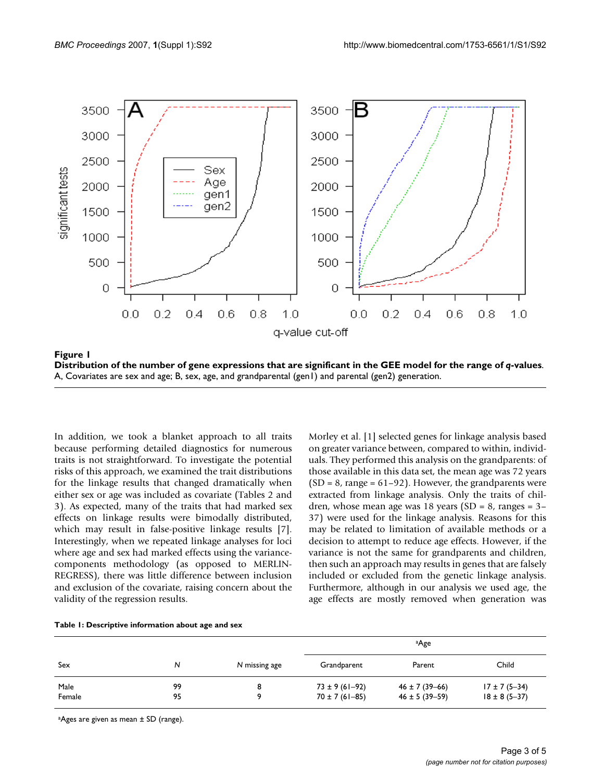

**Distribution of the number of gene expressions that are significant in the GEE model for the range of** *q***-values**. A, Covariates are sex and age; B, sex, age, and grandparental (gen1) and parental (gen2) generation.

In addition, we took a blanket approach to all traits because performing detailed diagnostics for numerous traits is not straightforward. To investigate the potential risks of this approach, we examined the trait distributions for the linkage results that changed dramatically when either sex or age was included as covariate (Tables 2 and 3). As expected, many of the traits that had marked sex effects on linkage results were bimodally distributed, which may result in false-positive linkage results [7]. Interestingly, when we repeated linkage analyses for loci where age and sex had marked effects using the variancecomponents methodology (as opposed to MERLIN-REGRESS), there was little difference between inclusion and exclusion of the covariate, raising concern about the validity of the regression results.

Morley et al. [1] selected genes for linkage analysis based on greater variance between, compared to within, individuals. They performed this analysis on the grandparents: of those available in this data set, the mean age was 72 years  $(SD = 8$ , range = 61–92). However, the grandparents were extracted from linkage analysis. Only the traits of children, whose mean age was 18 years (SD =  $8$ , ranges =  $3-$ 37) were used for the linkage analysis. Reasons for this may be related to limitation of available methods or a decision to attempt to reduce age effects. However, if the variance is not the same for grandparents and children, then such an approach may results in genes that are falsely included or excluded from the genetic linkage analysis. Furthermore, although in our analysis we used age, the age effects are mostly removed when generation was

|  |  |  |  | Table 1: Descriptive information about age and sex |  |
|--|--|--|--|----------------------------------------------------|--|
|--|--|--|--|----------------------------------------------------|--|

|        |    |               | aAge                |                      |                    |  |
|--------|----|---------------|---------------------|----------------------|--------------------|--|
| Sex    | N  | N missing age | Grandparent         | Parent               | Child              |  |
| Male   | 99 |               | $73 \pm 9(61 - 92)$ | $46 \pm 7(39 - 66)$  | $17 \pm 7(5 - 34)$ |  |
| Female | 95 |               | $70 \pm 7(61 - 85)$ | $46 \pm 5 (39 - 59)$ | $18 \pm 8(5 - 37)$ |  |

aAges are given as mean ± SD (range).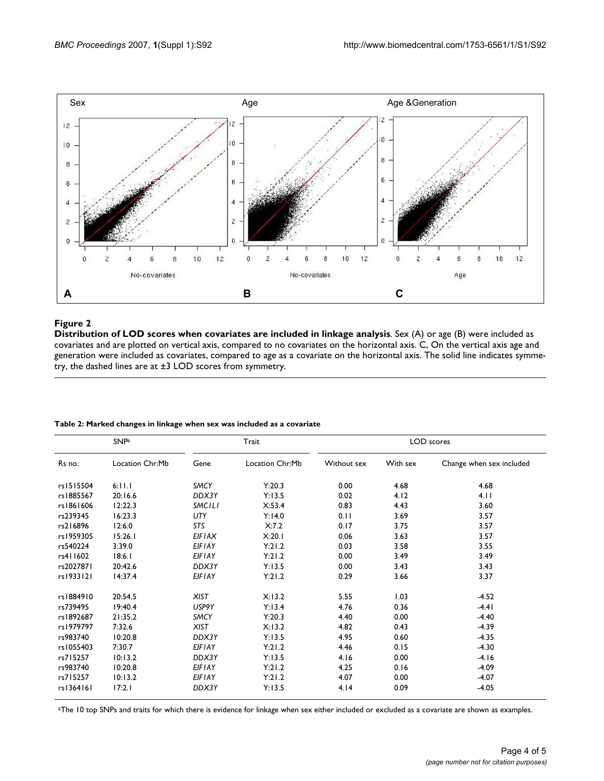

#### Figure 2

**Distribution of LOD scores when covariates are included in linkage analysis**. Sex (A) or age (B) were included as covariates and are plotted on vertical axis, compared to no covariates on the horizontal axis. C, On the vertical axis age and generation were included as covariates, compared to age as a covariate on the horizontal axis. The solid line indicates symmetry, the dashed lines are at ±3 LOD scores from symmetry.

#### **Table 2: Marked changes in linkage when sex was included as a covariate**

| SNPa      |                 | Trait         |                 | LOD scores  |          |                          |  |
|-----------|-----------------|---------------|-----------------|-------------|----------|--------------------------|--|
| Rs no.    | Location Chr:Mb | Gene          | Location Chr:Mb | Without sex | With sex | Change when sex included |  |
| rs1515504 | 6:11.1          | <b>SMCY</b>   | Y:20.3          | 0.00        | 4.68     | 4.68                     |  |
| rs1885567 | 20:16.6         | DDX3Y         | Y:13.5          | 0.02        | 4.12     | 4.11                     |  |
| rs1861606 | 12:22.3         | <b>SMCILI</b> | X:53.4          | 0.83        | 4.43     | 3.60                     |  |
| rs239345  | 16:23.3         | <b>UTY</b>    | Y:14.0          | 0.11        | 3.69     | 3.57                     |  |
| rs216896  | 12:6.0          | STS           | X:7.2           | 0.17        | 3.75     | 3.57                     |  |
| rs1959305 | 15:26.1         | <b>EIFIAX</b> | X:20.1          | 0.06        | 3.63     | 3.57                     |  |
| rs540224  | 3:39.0          | <b>EIFIAY</b> | Y:21.2          | 0.03        | 3.58     | 3.55                     |  |
| rs411602  | 18:6.1          | <b>EIFIAY</b> | Y:21.2          | 0.00        | 3.49     | 3.49                     |  |
| rs2027871 | 20:42.6         | DDX3Y         | Y:13.5          | 0.00        | 3.43     | 3.43                     |  |
| rs1933121 | 14:37.4         | <b>EIFIAY</b> | Y:21.2          | 0.29        | 3.66     | 3.37                     |  |
| rs1884910 | 20:54.5         | <b>XIST</b>   | X:13.2          | 5.55        | 1.03     | $-4.52$                  |  |
| rs739495  | 19:40.4         | USP9Y         | Y:13.4          | 4.76        | 0.36     | $-4.41$                  |  |
| rs1892687 | 21:35.2         | <b>SMCY</b>   | Y:20.3          | 4.40        | 0.00     | $-4.40$                  |  |
| rs1979797 | 7:32.6          | <b>XIST</b>   | X:13.2          | 4.82        | 0.43     | $-4.39$                  |  |
| rs983740  | 10:20.8         | DDX3Y         | Y:13.5          | 4.95        | 0.60     | $-4.35$                  |  |
| rs1055403 | 7:30.7          | <b>EIFIAY</b> | Y:21.2          | 4.46        | 0.15     | $-4.30$                  |  |
| rs715257  | 10:13.2         | DDX3Y         | Y:13.5          | 4.16        | 0.00     | $-4.16$                  |  |
| rs983740  | 10:20.8         | <b>EIFIAY</b> | Y:21.2          | 4.25        | 0.16     | $-4.09$                  |  |
| rs715257  | 10:13.2         | <b>EIFIAY</b> | Y:21.2          | 4.07        | 0.00     | $-4.07$                  |  |
| rs1364161 | 17:2.1          | DDX3Y         | Y:13.5          | 4.14        | 0.09     | $-4.05$                  |  |

aThe 10 top SNPs and traits for which there is evidence for linkage when sex either included or excluded as a covariate are shown as examples.